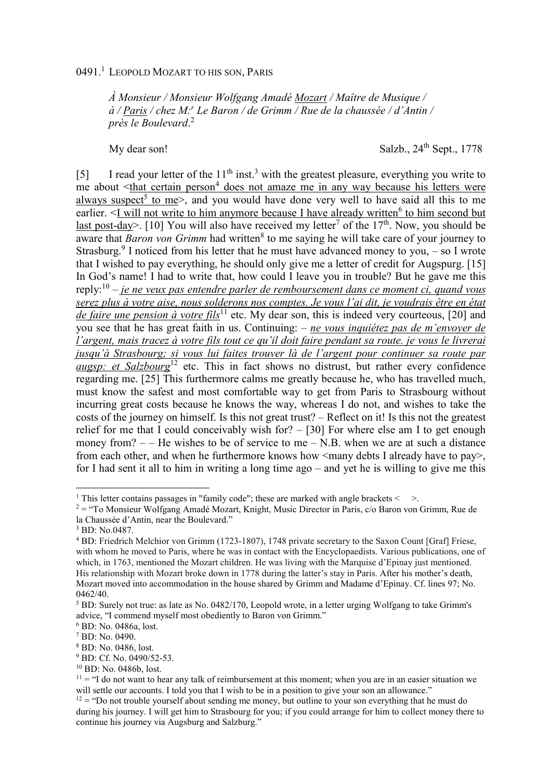0491.<sup>1</sup> Leopold Mozart to his son, Paris

*À Monsieur / Monsieur Wolfgang Amadé Mozart / Maître de Musique / à / Paris / chez M:<sup>r</sup> Le Baron / de Grimm / Rue de la chaussée / d'Antin / près le Boulevard*. 2

My dear son! Salzb., 24<sup>th</sup> Sept., 1778

[5] I read your letter of the  $11<sup>th</sup>$  inst.<sup>3</sup> with the greatest pleasure, everything you write to me about <that certain person<sup>4</sup> does not amaze me in any way because his letters were always suspect<sup>5</sup> to me>, and you would have done very well to have said all this to me earlier. <I will not write to him anymore because I have already written<sup>6</sup> to him second but last post-day>. [10] You will also have received my letter<sup>7</sup> of the 17<sup>th</sup>. Now, you should be aware that *Baron von Grimm* had written<sup>8</sup> to me saying he will take care of your journey to Strasburg.<sup>9</sup> I noticed from his letter that he must have advanced money to you,  $-$  so I wrote that I wished to pay everything, he should only give me a letter of credit for Augspurg. [15] In God's name! I had to write that, how could I leave you in trouble? But he gave me this reply:<sup>10</sup> – *je ne veux pas entendre parler de remboursement dans ce moment ci, quand vous serez plus à votre aise, nous solderons nos comptes. Je vous l'ai dit, je voudrais être en état de faire une pension à votre fils*<sup>11</sup> etc. My dear son, this is indeed very courteous, [20] and you see that he has great faith in us. Continuing: – *ne vous inquiétez pas de m'envoyer de l'argent, mais tracez à votre fils tout ce qu'il doit faire pendant sa route. je vous le livrerai jusqu'à Strasbourg; si vous lui faites trouver là de l'argent pour continuer sa route par augsp: et Salzbourg*<sup>12</sup> etc. This in fact shows no distrust, but rather every confidence regarding me. [25] This furthermore calms me greatly because he, who has travelled much, must know the safest and most comfortable way to get from Paris to Strasbourg without incurring great costs because he knows the way, whereas I do not, and wishes to take the costs of the journey on himself. Is this not great trust? – Reflect on it! Is this not the greatest relief for me that I could conceivably wish for? – [30] For where else am I to get enough money from?  $-$  – He wishes to be of service to me – N.B. when we are at such a distance from each other, and when he furthermore knows how  $\leq$ many debts I already have to pay>, for I had sent it all to him in writing a long time ago – and yet he is willing to give me this

 $\overline{a}$ 

<sup>&</sup>lt;sup>1</sup> This letter contains passages in "family code"; these are marked with angle brackets  $\leq$  >.

 $2 =$  "To Monsieur Wolfgang Amadé Mozart, Knight, Music Director in Paris, c/o Baron von Grimm, Rue de la Chaussée d'Antin, near the Boulevard."

<sup>3</sup> BD: No.0487.

<sup>&</sup>lt;sup>4</sup> BD: Friedrich Melchior von Grimm (1723-1807), 1748 private secretary to the Saxon Count [Graf] Friese, with whom he moved to Paris, where he was in contact with the Encyclopaedists. Various publications, one of which, in 1763, mentioned the Mozart children. He was living with the Marquise d'Epinay just mentioned. His relationship with Mozart broke down in 1778 during the latter's stay in Paris. After his mother's death, Mozart moved into accommodation in the house shared by Grimm and Madame d'Epinay. Cf. lines 97; No. 0462/40.

<sup>&</sup>lt;sup>5</sup> BD: Surely not true: as late as No. 0482/170, Leopold wrote, in a letter urging Wolfgang to take Grimm's advice, "I commend myself most obediently to Baron von Grimm."

<sup>6</sup> BD: No. 0486a, lost.

<sup>7</sup> BD: No. 0490.

<sup>8</sup> BD: No. 0486, lost.

<sup>&</sup>lt;sup>9</sup> BD: Cf. No. 0490/52-53.

<sup>10</sup> BD: No. 0486b, lost.

 $11 =$  "I do not want to hear any talk of reimbursement at this moment; when you are in an easier situation we will settle our accounts. I told you that I wish to be in a position to give your son an allowance."

 $12 =$  "Do not trouble yourself about sending me money, but outline to your son everything that he must do during his journey. I will get him to Strasbourg for you; if you could arrange for him to collect money there to continue his journey via Augsburg and Salzburg."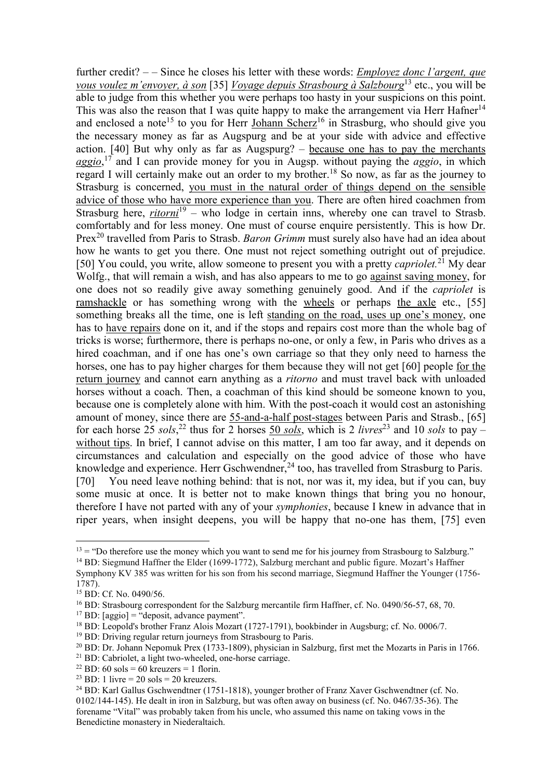further credit? – – Since he closes his letter with these words: *Employez donc l'argent, que vous voulez m'envoyer, à son* [35] *Voyage depuis Strasbourg à Salzbourg*<sup>13</sup> etc., you will be able to judge from this whether you were perhaps too hasty in your suspicions on this point. This was also the reason that I was quite happy to make the arrangement via Herr Hafner<sup>14</sup> and enclosed a note<sup>15</sup> to you for Herr Johann Scherz<sup>16</sup> in Strasburg, who should give you the necessary money as far as Augspurg and be at your side with advice and effective action. [40] But why only as far as Augspurg? – because one has to pay the merchants *aggio*, <sup>17</sup> and I can provide money for you in Augsp. without paying the *aggio*, in which regard I will certainly make out an order to my brother.<sup>18</sup> So now, as far as the journey to Strasburg is concerned, you must in the natural order of things depend on the sensible advice of those who have more experience than you. There are often hired coachmen from Strasburg here, *ritorni*<sup>19</sup> – who lodge in certain inns, whereby one can travel to Strasb. comfortably and for less money. One must of course enquire persistently. This is how Dr. Prex<sup>20</sup> travelled from Paris to Strasb. *Baron Grimm* must surely also have had an idea about how he wants to get you there. One must not reject something outright out of prejudice. [50] You could, you write, allow someone to present you with a pretty *capriolet.*<sup>21</sup> My dear Wolfg., that will remain a wish, and has also appears to me to go against saving money, for one does not so readily give away something genuinely good. And if the *capriolet* is ramshackle or has something wrong with the wheels or perhaps the axle etc., [55] something breaks all the time, one is left standing on the road, uses up one's money, one has to have repairs done on it, and if the stops and repairs cost more than the whole bag of tricks is worse; furthermore, there is perhaps no-one, or only a few, in Paris who drives as a hired coachman, and if one has one's own carriage so that they only need to harness the horses, one has to pay higher charges for them because they will not get [60] people for the return journey and cannot earn anything as a *ritorno* and must travel back with unloaded horses without a coach. Then, a coachman of this kind should be someone known to you, because one is completely alone with him. With the post-coach it would cost an astonishing amount of money, since there are 55-and-a-half post-stages between Paris and Strasb., [65] for each horse 25 *sols*, <sup>22</sup> thus for 2 horses 50 *sols*, which is 2 *livres*<sup>23</sup> and 10 *sols* to pay – without tips. In brief, I cannot advise on this matter, I am too far away, and it depends on circumstances and calculation and especially on the good advice of those who have knowledge and experience. Herr Gschwendner,<sup>24</sup> too, has travelled from Strasburg to Paris. [70] You need leave nothing behind: that is not, nor was it, my idea, but if you can, buy some music at once. It is better not to make known things that bring you no honour, therefore I have not parted with any of your *symphonies*, because I knew in advance that in riper years, when insight deepens, you will be happy that no-one has them, [75] even

<sup>17</sup> BD:  $[aggio] = "deposit, advance payment".$ 

 $\overline{a}$  $13 =$  "Do therefore use the money which you want to send me for his journey from Strasbourg to Salzburg." <sup>14</sup> BD: Siegmund Haffner the Elder (1699-1772), Salzburg merchant and public figure. Mozart's Haffner

Symphony KV 385 was written for his son from his second marriage, Siegmund Haffner the Younger (1756- 1787).

<sup>15</sup> BD: Cf. No. 0490/56.

<sup>16</sup> BD: Strasbourg correspondent for the Salzburg mercantile firm Haffner, cf. No. 0490/56-57, 68, 70.

<sup>18</sup> BD: Leopold's brother Franz Alois Mozart (1727-1791), bookbinder in Augsburg; cf. No. 0006/7.

<sup>&</sup>lt;sup>19</sup> BD: Driving regular return journeys from Strasbourg to Paris.

<sup>&</sup>lt;sup>20</sup> BD: Dr. Johann Nepomuk Prex (1733-1809), physician in Salzburg, first met the Mozarts in Paris in 1766.

<sup>21</sup> BD: Cabriolet, a light two-wheeled, one-horse carriage.

<sup>&</sup>lt;sup>22</sup> BD: 60 sols = 60 kreuzers = 1 florin.

<sup>&</sup>lt;sup>23</sup> BD: 1 livre = 20 sols = 20 kreuzers.

<sup>24</sup> BD: Karl Gallus Gschwendtner (1751-1818), younger brother of Franz Xaver Gschwendtner (cf. No. 0102/144-145). He dealt in iron in Salzburg, but was often away on business (cf. No. 0467/35-36). The forename "Vital" was probably taken from his uncle, who assumed this name on taking vows in the Benedictine monastery in Niederaltaich.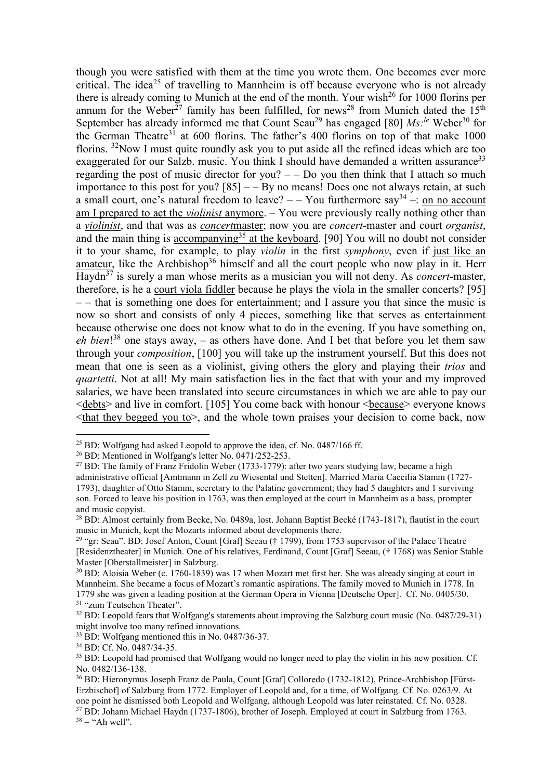though you were satisfied with them at the time you wrote them. One becomes ever more critical. The idea<sup>25</sup> of travelling to Mannheim is off because everyone who is not already there is already coming to Munich at the end of the month. Your wish<sup>26</sup> for 1000 florins per annum for the Weber<sup>27</sup> family has been fulfilled, for news<sup>28</sup> from Munich dated the  $15<sup>th</sup>$ September has already informed me that Count Seau<sup>29</sup> has engaged [80] *Ms:*<sup>*le*</sup> Weber<sup>30</sup> for the German Theatre<sup>31</sup> at 600 florins. The father's 400 florins on top of that make 1000 florins. <sup>32</sup>Now I must quite roundly ask you to put aside all the refined ideas which are too exaggerated for our Salzb. music. You think I should have demanded a written assurance<sup>33</sup> regarding the post of music director for you?  $-$  Do you then think that I attach so much importance to this post for you?  $[85]$  – – By no means! Does one not always retain, at such a small court, one's natural freedom to leave?  $-$  You furthermore say<sup>34</sup> –: on no account am I prepared to act the *violinist* anymore. – You were previously really nothing other than a *violinist*, and that was as *concert*master; now you are *concert*-master and court *organist*, and the main thing is  $\frac{1}{2}$  accompanying<sup>35</sup> at the keyboard. [90] You will no doubt not consider it to your shame, for example, to play *violin* in the first *symphony*, even if just like an amateur, like the Archbishop<sup>36</sup> himself and all the court people who now play in it. Herr Haydn<sup>37</sup> is surely a man whose merits as a musician you will not deny. As *concert*-master, therefore, is he a court viola fiddler because he plays the viola in the smaller concerts? [95] – – that is something one does for entertainment; and I assure you that since the music is now so short and consists of only 4 pieces, something like that serves as entertainment because otherwise one does not know what to do in the evening. If you have something on, *eh bien*! <sup>38</sup> one stays away, – as others have done. And I bet that before you let them saw through your *composition*, [100] you will take up the instrument yourself. But this does not mean that one is seen as a violinist, giving others the glory and playing their *trios* and *quartetti*. Not at all! My main satisfaction lies in the fact that with your and my improved salaries, we have been translated into secure circumstances in which we are able to pay our <debts> and live in comfort. [105] You come back with honour <because> everyone knows <that they begged you to>, and the whole town praises your decision to come back, now

 $\overline{a}$ 

<sup>&</sup>lt;sup>25</sup> BD: Wolfgang had asked Leopold to approve the idea, cf. No.  $0487/166$  ff.

<sup>26</sup> BD: Mentioned in Wolfgang's letter No. 0471/252-253.

<sup>&</sup>lt;sup>27</sup> BD: The family of Franz Fridolin Weber (1733-1779): after two years studying law, became a high administrative official [Amtmann in Zell zu Wiesental und Stetten]. Married Maria Caecilia Stamm (1727- 1793), daughter of Otto Stamm, secretary to the Palatine government; they had 5 daughters and 1 surviving son. Forced to leave his position in 1763, was then employed at the court in Mannheim as a bass, prompter and music copyist.

<sup>28</sup> BD: Almost certainly from Becke, No. 0489a, lost. Johann Baptist Becké (1743-1817), flautist in the court music in Munich, kept the Mozarts informed about developments there.

<sup>&</sup>lt;sup>29</sup> "gr: Seau". BD: Josef Anton, Count [Graf] Seeau († 1799), from 1753 supervisor of the Palace Theatre [Residenztheater] in Munich. One of his relatives, Ferdinand, Count [Graf] Seeau, († 1768) was Senior Stable Master [Oberstallmeister] in Salzburg.

<sup>30</sup> BD: Aloisia Weber (c. 1760-1839) was 17 when Mozart met first her. She was already singing at court in Mannheim. She became a focus of Mozart's romantic aspirations. The family moved to Munich in 1778. In 1779 she was given a leading position at the German Opera in Vienna [Deutsche Oper]. Cf. No. 0405/30. <sup>31</sup> "zum Teutschen Theater".

 $32$  BD: Leopold fears that Wolfgang's statements about improving the Salzburg court music (No. 0487/29-31) might involve too many refined innovations.

<sup>33</sup> BD: Wolfgang mentioned this in No. 0487/36-37.

<sup>34</sup> BD: Cf. No. 0487/34-35.

<sup>&</sup>lt;sup>35</sup> BD: Leopold had promised that Wolfgang would no longer need to play the violin in his new position. Cf. No. 0482/136-138.

<sup>36</sup> BD: Hieronymus Joseph Franz de Paula, Count [Graf] Colloredo (1732-1812), Prince-Archbishop [Fürst-Erzbischof] of Salzburg from 1772. Employer of Leopold and, for a time, of Wolfgang. Cf. No. 0263/9. At one point he dismissed both Leopold and Wolfgang, although Leopold was later reinstated. Cf. No. 0328.

<sup>&</sup>lt;sup>37</sup> BD: Johann Michael Haydn (1737-1806), brother of Joseph. Employed at court in Salzburg from 1763.  $38 =$  "Ah well".